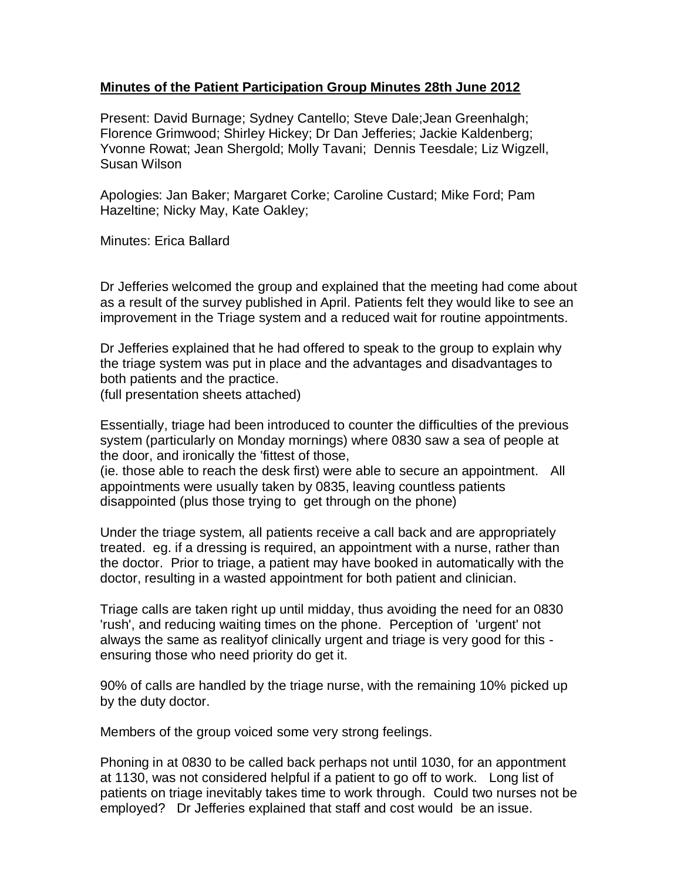## **Minutes of the Patient Participation Group Minutes 28th June 2012**

Present: David Burnage; Sydney Cantello; Steve Dale;Jean Greenhalgh; Florence Grimwood; Shirley Hickey; Dr Dan Jefferies; Jackie Kaldenberg; Yvonne Rowat; Jean Shergold; Molly Tavani; Dennis Teesdale; Liz Wigzell, Susan Wilson

Apologies: Jan Baker; Margaret Corke; Caroline Custard; Mike Ford; Pam Hazeltine; Nicky May, Kate Oakley;

Minutes: Erica Ballard

Dr Jefferies welcomed the group and explained that the meeting had come about as a result of the survey published in April. Patients felt they would like to see an improvement in the Triage system and a reduced wait for routine appointments.

Dr Jefferies explained that he had offered to speak to the group to explain why the triage system was put in place and the advantages and disadvantages to both patients and the practice.

(full presentation sheets attached)

Essentially, triage had been introduced to counter the difficulties of the previous system (particularly on Monday mornings) where 0830 saw a sea of people at the door, and ironically the 'fittest of those,

(ie. those able to reach the desk first) were able to secure an appointment. All appointments were usually taken by 0835, leaving countless patients disappointed (plus those trying to get through on the phone)

Under the triage system, all patients receive a call back and are appropriately treated. eg. if a dressing is required, an appointment with a nurse, rather than the doctor. Prior to triage, a patient may have booked in automatically with the doctor, resulting in a wasted appointment for both patient and clinician.

Triage calls are taken right up until midday, thus avoiding the need for an 0830 'rush', and reducing waiting times on the phone. Perception of 'urgent' not always the same as realityof clinically urgent and triage is very good for this ensuring those who need priority do get it.

90% of calls are handled by the triage nurse, with the remaining 10% picked up by the duty doctor.

Members of the group voiced some very strong feelings.

Phoning in at 0830 to be called back perhaps not until 1030, for an appontment at 1130, was not considered helpful if a patient to go off to work. Long list of patients on triage inevitably takes time to work through. Could two nurses not be employed? Dr Jefferies explained that staff and cost would be an issue.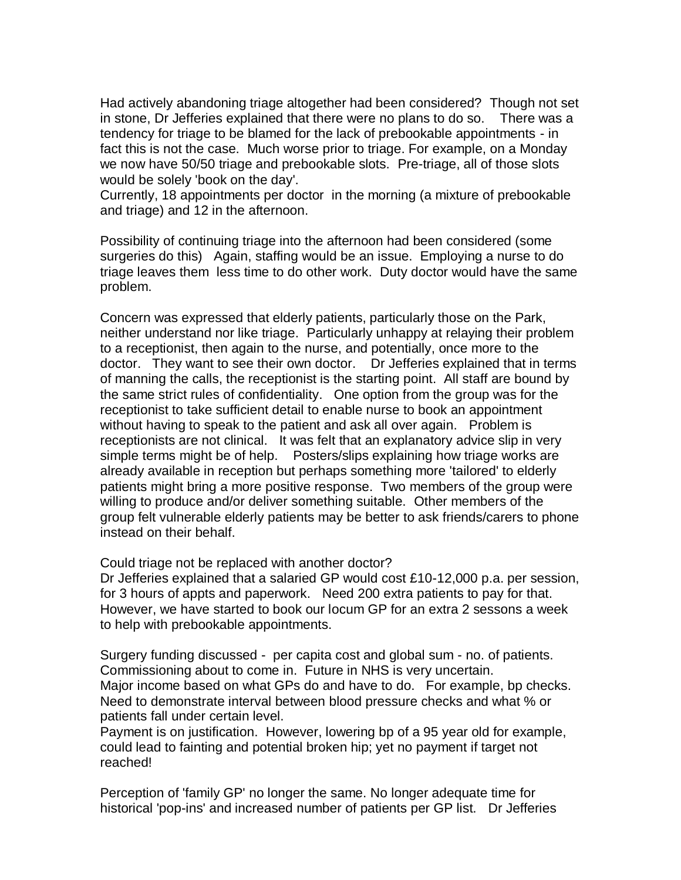Had actively abandoning triage altogether had been considered? Though not set in stone, Dr Jefferies explained that there were no plans to do so. There was a tendency for triage to be blamed for the lack of prebookable appointments - in fact this is not the case. Much worse prior to triage. For example, on a Monday we now have 50/50 triage and prebookable slots. Pre-triage, all of those slots would be solely 'book on the day'.

Currently, 18 appointments per doctor in the morning (a mixture of prebookable and triage) and 12 in the afternoon.

Possibility of continuing triage into the afternoon had been considered (some surgeries do this) Again, staffing would be an issue. Employing a nurse to do triage leaves them less time to do other work. Duty doctor would have the same problem.

Concern was expressed that elderly patients, particularly those on the Park, neither understand nor like triage. Particularly unhappy at relaying their problem to a receptionist, then again to the nurse, and potentially, once more to the doctor. They want to see their own doctor. Dr Jefferies explained that in terms of manning the calls, the receptionist is the starting point. All staff are bound by the same strict rules of confidentiality. One option from the group was for the receptionist to take sufficient detail to enable nurse to book an appointment without having to speak to the patient and ask all over again. Problem is receptionists are not clinical. It was felt that an explanatory advice slip in very simple terms might be of help. Posters/slips explaining how triage works are already available in reception but perhaps something more 'tailored' to elderly patients might bring a more positive response. Two members of the group were willing to produce and/or deliver something suitable. Other members of the group felt vulnerable elderly patients may be better to ask friends/carers to phone instead on their behalf.

Could triage not be replaced with another doctor?

Dr Jefferies explained that a salaried GP would cost £10-12,000 p.a. per session, for 3 hours of appts and paperwork. Need 200 extra patients to pay for that. However, we have started to book our locum GP for an extra 2 sessons a week to help with prebookable appointments.

Surgery funding discussed - per capita cost and global sum - no. of patients. Commissioning about to come in. Future in NHS is very uncertain. Major income based on what GPs do and have to do. For example, bp checks. Need to demonstrate interval between blood pressure checks and what % or patients fall under certain level.

Payment is on justification. However, lowering bp of a 95 year old for example, could lead to fainting and potential broken hip; yet no payment if target not reached!

Perception of 'family GP' no longer the same. No longer adequate time for historical 'pop-ins' and increased number of patients per GP list. Dr Jefferies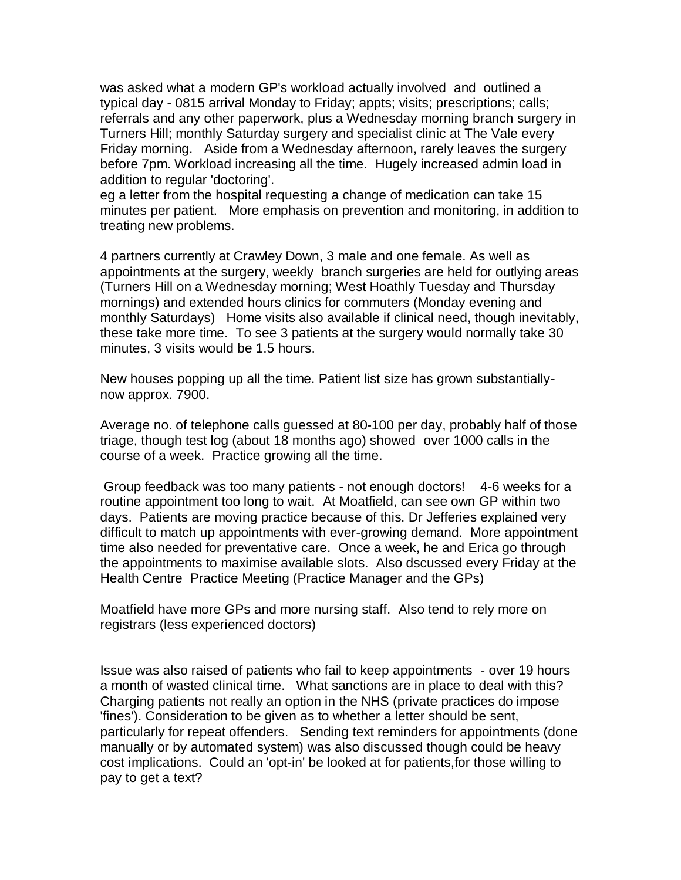was asked what a modern GP's workload actually involved and outlined a typical day - 0815 arrival Monday to Friday; appts; visits; prescriptions; calls; referrals and any other paperwork, plus a Wednesday morning branch surgery in Turners Hill; monthly Saturday surgery and specialist clinic at The Vale every Friday morning. Aside from a Wednesday afternoon, rarely leaves the surgery before 7pm. Workload increasing all the time. Hugely increased admin load in addition to regular 'doctoring'.

eg a letter from the hospital requesting a change of medication can take 15 minutes per patient. More emphasis on prevention and monitoring, in addition to treating new problems.

4 partners currently at Crawley Down, 3 male and one female. As well as appointments at the surgery, weekly branch surgeries are held for outlying areas (Turners Hill on a Wednesday morning; West Hoathly Tuesday and Thursday mornings) and extended hours clinics for commuters (Monday evening and monthly Saturdays) Home visits also available if clinical need, though inevitably, these take more time. To see 3 patients at the surgery would normally take 30 minutes, 3 visits would be 1.5 hours.

New houses popping up all the time. Patient list size has grown substantiallynow approx. 7900.

Average no. of telephone calls guessed at 80-100 per day, probably half of those triage, though test log (about 18 months ago) showed over 1000 calls in the course of a week. Practice growing all the time.

Group feedback was too many patients - not enough doctors! 4-6 weeks for a routine appointment too long to wait. At Moatfield, can see own GP within two days. Patients are moving practice because of this. Dr Jefferies explained very difficult to match up appointments with ever-growing demand. More appointment time also needed for preventative care. Once a week, he and Erica go through the appointments to maximise available slots. Also dscussed every Friday at the Health Centre Practice Meeting (Practice Manager and the GPs)

Moatfield have more GPs and more nursing staff. Also tend to rely more on registrars (less experienced doctors)

Issue was also raised of patients who fail to keep appointments - over 19 hours a month of wasted clinical time. What sanctions are in place to deal with this? Charging patients not really an option in the NHS (private practices do impose 'fines'). Consideration to be given as to whether a letter should be sent, particularly for repeat offenders. Sending text reminders for appointments (done manually or by automated system) was also discussed though could be heavy cost implications. Could an 'opt-in' be looked at for patients,for those willing to pay to get a text?